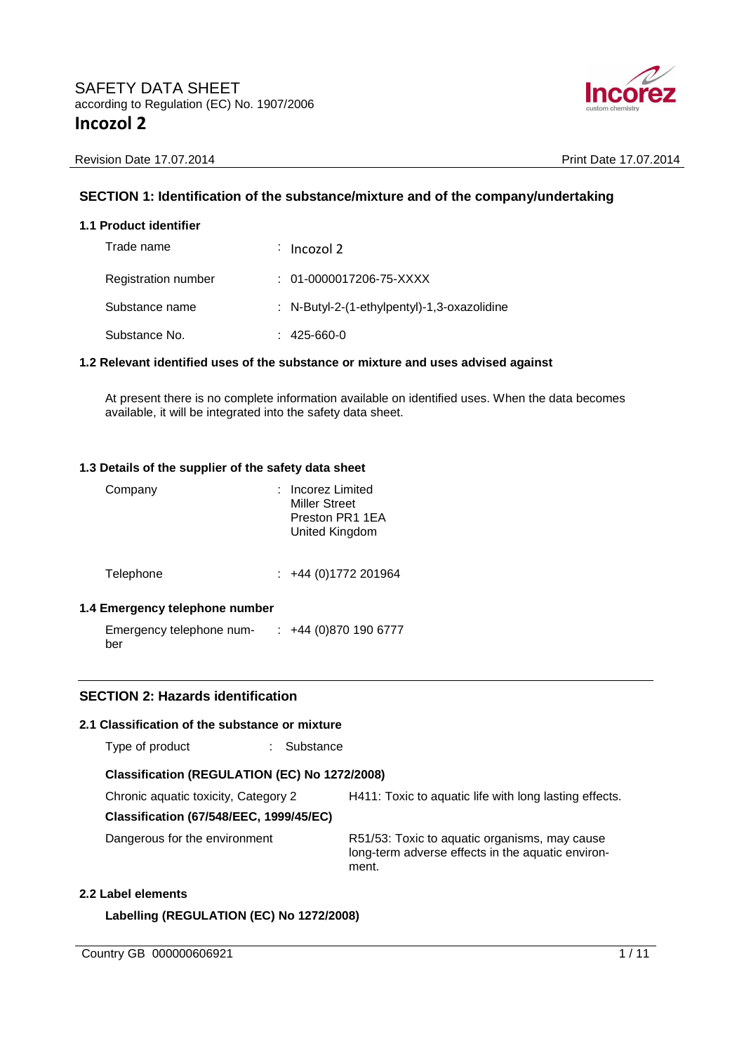

Revision Date 17.07.2014 **Print Date 17.07.2014** Print Date 17.07.2014

# **SECTION 1: Identification of the substance/mixture and of the company/undertaking**

## **1.1 Product identifier**

| Trade name          | : Incozol 2                                 |
|---------------------|---------------------------------------------|
| Registration number | $: 01-0000017206-75-XXXX$                   |
| Substance name      | : N-Butyl-2-(1-ethylpentyl)-1,3-oxazolidine |
| Substance No.       | $: 425 - 660 - 0$                           |

#### **1.2 Relevant identified uses of the substance or mixture and uses advised against**

At present there is no complete information available on identified uses. When the data becomes available, it will be integrated into the safety data sheet.

#### **1.3 Details of the supplier of the safety data sheet**

| Company   | Incorez Limited<br><b>Miller Street</b><br>Preston PR1 1EA<br>United Kingdom |
|-----------|------------------------------------------------------------------------------|
| Telephone | $\div$ +44 (0)1772 201964                                                    |

#### **1.4 Emergency telephone number**

Emergency telephone number : +44 (0)870 190 6777

#### **SECTION 2: Hazards identification**

#### **2.1 Classification of the substance or mixture**

| Type of product | Substance |
|-----------------|-----------|
|-----------------|-----------|

#### **Classification (REGULATION (EC) No 1272/2008)**

Chronic aquatic toxicity, Category 2 H411: Toxic to aquatic life with long lasting effects.

**Classification (67/548/EEC, 1999/45/EC)** 

Dangerous for the environment R51/53: Toxic to aquatic organisms, may cause long-term adverse effects in the aquatic environment.

#### **2.2 Label elements**

**Labelling (REGULATION (EC) No 1272/2008)** 

Country GB 000000606921 1/11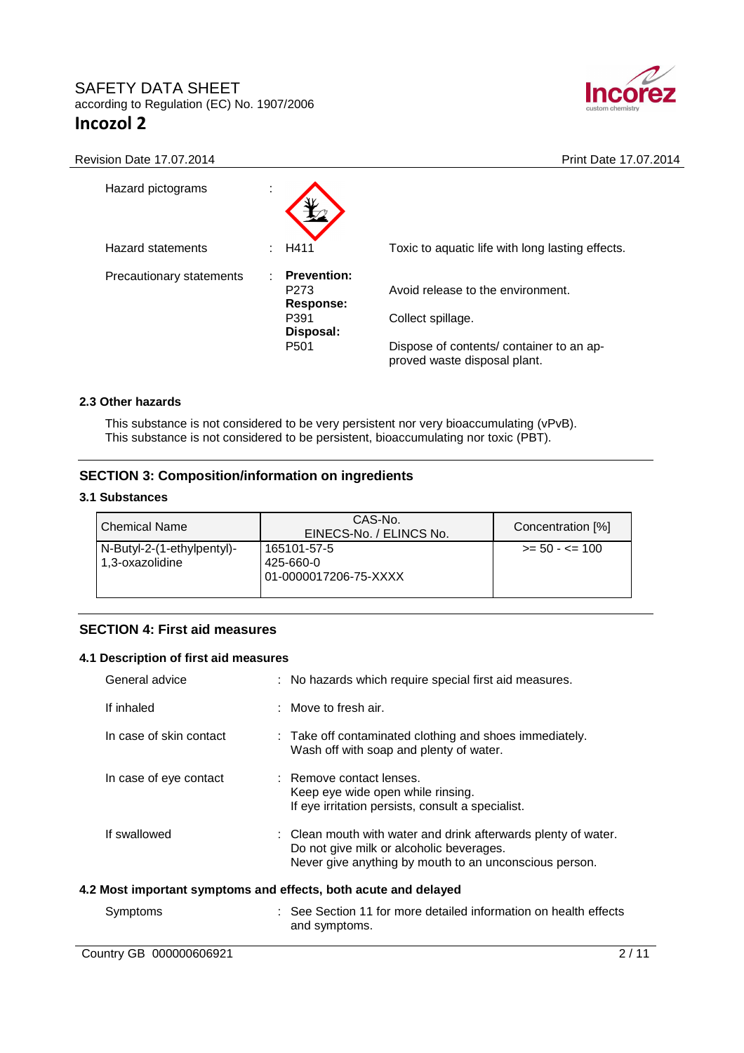

Revision Date 17.07.2014 **Print Date 17.07.2014** 

| Hazard pictograms        | ÷ |                                                     |                                                                          |
|--------------------------|---|-----------------------------------------------------|--------------------------------------------------------------------------|
| Hazard statements        |   | H411                                                | Toxic to aquatic life with long lasting effects.                         |
| Precautionary statements |   | <b>Prevention:</b><br>P <sub>273</sub><br>Response: | Avoid release to the environment.                                        |
|                          |   | P391<br>Disposal:                                   | Collect spillage.                                                        |
|                          |   | P <sub>501</sub>                                    | Dispose of contents/ container to an ap-<br>proved waste disposal plant. |

#### **2.3 Other hazards**

This substance is not considered to be very persistent nor very bioaccumulating (vPvB). This substance is not considered to be persistent, bioaccumulating nor toxic (PBT).

# **SECTION 3: Composition/information on ingredients**

#### **3.1 Substances**

| <b>Chemical Name</b>                          | CAS-No.<br>EINECS-No. / ELINCS No.                | Concentration [%] |
|-----------------------------------------------|---------------------------------------------------|-------------------|
| N-Butyl-2-(1-ethylpentyl)-<br>1,3-oxazolidine | 165101-57-5<br>425-660-0<br>01-0000017206-75-XXXX | $>= 50 - 5 = 100$ |

## **SECTION 4: First aid measures**

#### **4.1 Description of first aid measures**

| General advice                                                  | : No hazards which require special first aid measures.                                                                                                               |  |
|-----------------------------------------------------------------|----------------------------------------------------------------------------------------------------------------------------------------------------------------------|--|
| If inhaled                                                      | $\therefore$ Move to fresh air.                                                                                                                                      |  |
| In case of skin contact                                         | : Take off contaminated clothing and shoes immediately.<br>Wash off with soap and plenty of water.                                                                   |  |
| In case of eye contact                                          | : Remove contact lenses.<br>Keep eye wide open while rinsing.<br>If eye irritation persists, consult a specialist.                                                   |  |
| If swallowed                                                    | : Clean mouth with water and drink afterwards plenty of water.<br>Do not give milk or alcoholic beverages.<br>Never give anything by mouth to an unconscious person. |  |
| 4.2 Most important symptoms and effects, both acute and delayed |                                                                                                                                                                      |  |

| Symptoms | : See Section 11 for more detailed information on health effects |
|----------|------------------------------------------------------------------|
|          | and symptoms.                                                    |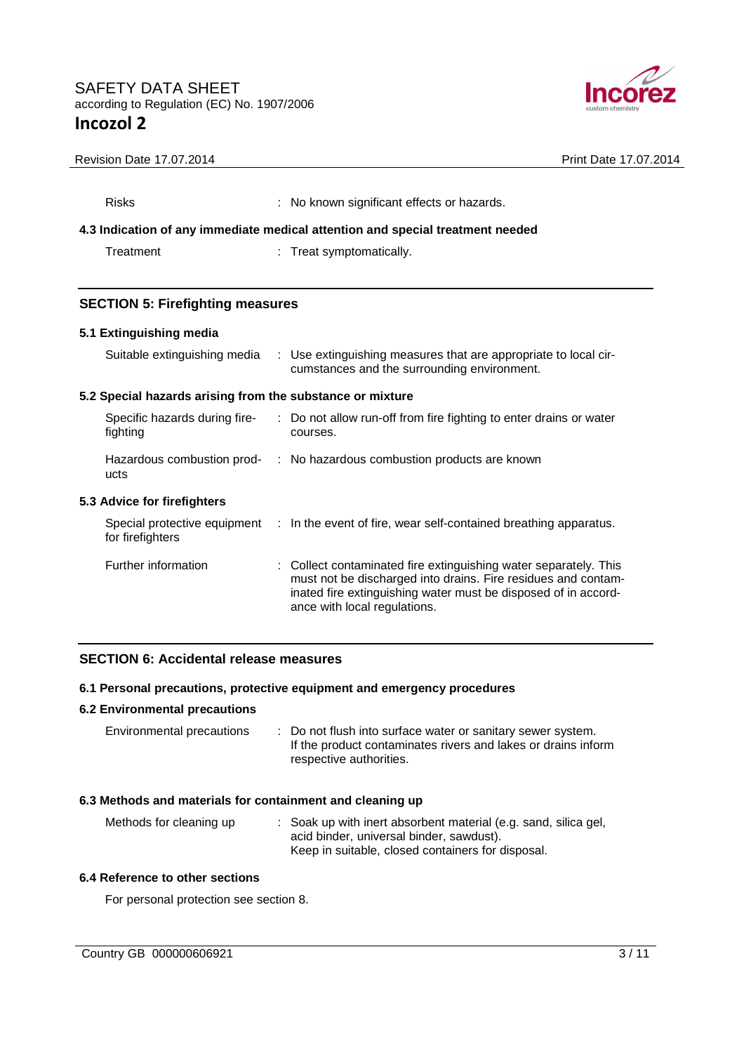

| Revision Date 17.07.2014                                  | Print Date 17.07.2014                                                                                                                                                                                                               |  |
|-----------------------------------------------------------|-------------------------------------------------------------------------------------------------------------------------------------------------------------------------------------------------------------------------------------|--|
| <b>Risks</b>                                              | : No known significant effects or hazards.<br>4.3 Indication of any immediate medical attention and special treatment needed                                                                                                        |  |
| Treatment                                                 | Treat symptomatically.                                                                                                                                                                                                              |  |
|                                                           |                                                                                                                                                                                                                                     |  |
| <b>SECTION 5: Firefighting measures</b>                   |                                                                                                                                                                                                                                     |  |
| 5.1 Extinguishing media                                   |                                                                                                                                                                                                                                     |  |
| Suitable extinguishing media                              | : Use extinguishing measures that are appropriate to local cir-<br>cumstances and the surrounding environment.                                                                                                                      |  |
| 5.2 Special hazards arising from the substance or mixture |                                                                                                                                                                                                                                     |  |
| Specific hazards during fire-<br>fighting                 | Do not allow run-off from fire fighting to enter drains or water<br>courses.                                                                                                                                                        |  |
| ucts                                                      | Hazardous combustion prod- : No hazardous combustion products are known                                                                                                                                                             |  |
| 5.3 Advice for firefighters                               |                                                                                                                                                                                                                                     |  |
| for firefighters                                          | Special protective equipment : In the event of fire, wear self-contained breathing apparatus.                                                                                                                                       |  |
| Further information                                       | : Collect contaminated fire extinguishing water separately. This<br>must not be discharged into drains. Fire residues and contam-<br>inated fire extinguishing water must be disposed of in accord-<br>ance with local regulations. |  |

#### **SECTION 6: Accidental release measures**

#### **6.1 Personal precautions, protective equipment and emergency procedures**

#### **6.2 Environmental precautions**

| Environmental precautions | : Do not flush into surface water or sanitary sewer system.   |
|---------------------------|---------------------------------------------------------------|
|                           | If the product contaminates rivers and lakes or drains inform |
|                           | respective authorities.                                       |

## **6.3 Methods and materials for containment and cleaning up**

| Methods for cleaning up | : Soak up with inert absorbent material (e.g. sand, silica gel, |
|-------------------------|-----------------------------------------------------------------|
|                         | acid binder, universal binder, sawdust).                        |
|                         | Keep in suitable, closed containers for disposal.               |

#### **6.4 Reference to other sections**

For personal protection see section 8.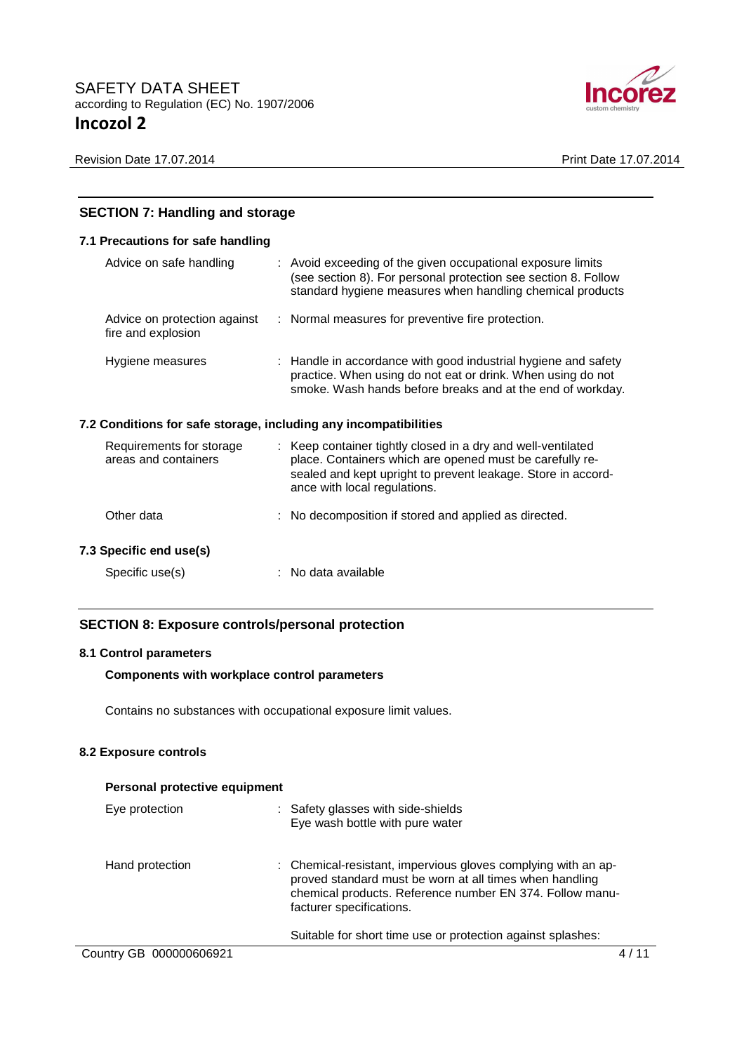

Revision Date 17.07.2014 **Print Date 17.07.2014** 

| <b>SECTION 7: Handling and storage</b>                           |  |                                                                                                                                                                                                                          |
|------------------------------------------------------------------|--|--------------------------------------------------------------------------------------------------------------------------------------------------------------------------------------------------------------------------|
| 7.1 Precautions for safe handling                                |  |                                                                                                                                                                                                                          |
| Advice on safe handling                                          |  | : Avoid exceeding of the given occupational exposure limits<br>(see section 8). For personal protection see section 8. Follow<br>standard hygiene measures when handling chemical products                               |
| Advice on protection against<br>fire and explosion               |  | : Normal measures for preventive fire protection.                                                                                                                                                                        |
| Hygiene measures                                                 |  | : Handle in accordance with good industrial hygiene and safety<br>practice. When using do not eat or drink. When using do not<br>smoke. Wash hands before breaks and at the end of workday.                              |
| 7.2 Conditions for safe storage, including any incompatibilities |  |                                                                                                                                                                                                                          |
| Requirements for storage<br>areas and containers                 |  | : Keep container tightly closed in a dry and well-ventilated<br>place. Containers which are opened must be carefully re-<br>sealed and kept upright to prevent leakage. Store in accord-<br>ance with local regulations. |
| Other data                                                       |  | No decomposition if stored and applied as directed.                                                                                                                                                                      |
| 7.3 Specific end use(s)                                          |  |                                                                                                                                                                                                                          |
| Specific use(s)                                                  |  | : No data available                                                                                                                                                                                                      |

# **SECTION 8: Exposure controls/personal protection**

#### **8.1 Control parameters**

#### **Components with workplace control parameters**

Contains no substances with occupational exposure limit values.

## **8.2 Exposure controls**

| Personal protective equipment |                                                                                                                                                                                                                  |
|-------------------------------|------------------------------------------------------------------------------------------------------------------------------------------------------------------------------------------------------------------|
| Eye protection                | : Safety glasses with side-shields<br>Eye wash bottle with pure water                                                                                                                                            |
| Hand protection               | : Chemical-resistant, impervious gloves complying with an ap-<br>proved standard must be worn at all times when handling<br>chemical products. Reference number EN 374. Follow manu-<br>facturer specifications. |
|                               | Suitable for short time use or protection against splashes:                                                                                                                                                      |
| Country GB 000000606921       |                                                                                                                                                                                                                  |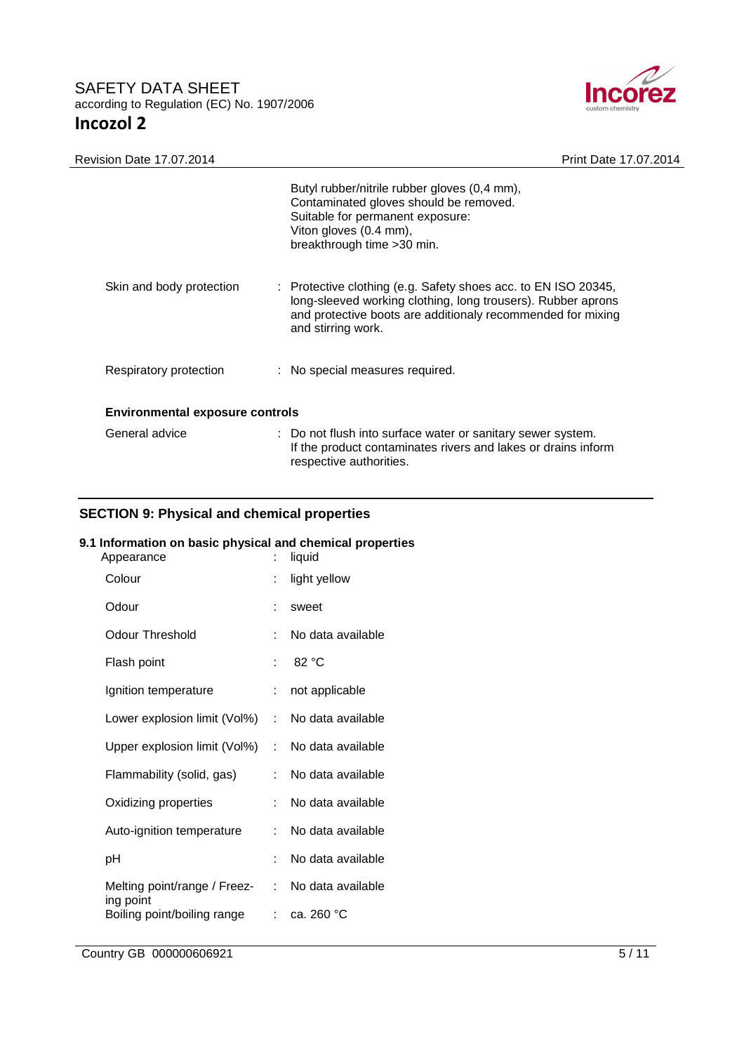

| <b>Revision Date 17.07.2014</b>        | Print Date 17.07.2014                                                                                                                                                                                               |  |
|----------------------------------------|---------------------------------------------------------------------------------------------------------------------------------------------------------------------------------------------------------------------|--|
|                                        | Butyl rubber/nitrile rubber gloves (0,4 mm),<br>Contaminated gloves should be removed.<br>Suitable for permanent exposure:<br>Viton gloves (0.4 mm),<br>breakthrough time > 30 min.                                 |  |
| Skin and body protection               | : Protective clothing (e.g. Safety shoes acc. to EN ISO 20345,<br>long-sleeved working clothing, long trousers). Rubber aprons<br>and protective boots are additionaly recommended for mixing<br>and stirring work. |  |
| Respiratory protection                 | : No special measures required.                                                                                                                                                                                     |  |
| <b>Environmental exposure controls</b> |                                                                                                                                                                                                                     |  |
| General advice                         | : Do not flush into surface water or sanitary sewer system.<br>If the product contaminates rivers and lakes or drains inform<br>respective authorities.                                                             |  |

# **SECTION 9: Physical and chemical properties**

# **9.1 Information on basic physical and chemical properties**

| Appearance                               | t                         | liquid            |
|------------------------------------------|---------------------------|-------------------|
| Colour                                   | t                         | light yellow      |
| Odour                                    | ÷                         | sweet             |
| <b>Odour Threshold</b>                   | ÷                         | No data available |
| Flash point                              | t                         | 82 °C             |
| Ignition temperature                     | t.                        | not applicable    |
| Lower explosion limit (Vol%)             | t.                        | No data available |
| Upper explosion limit (Vol%)             | t.                        | No data available |
| Flammability (solid, gas)                | t.                        | No data available |
| Oxidizing properties                     | t.                        | No data available |
| Auto-ignition temperature                | t.                        | No data available |
| рH                                       | t.                        | No data available |
| Melting point/range / Freez-             | $\mathbb{R}^{\mathbb{Z}}$ | No data available |
| ing point<br>Boiling point/boiling range |                           | : $ca.260 °C$     |
|                                          |                           |                   |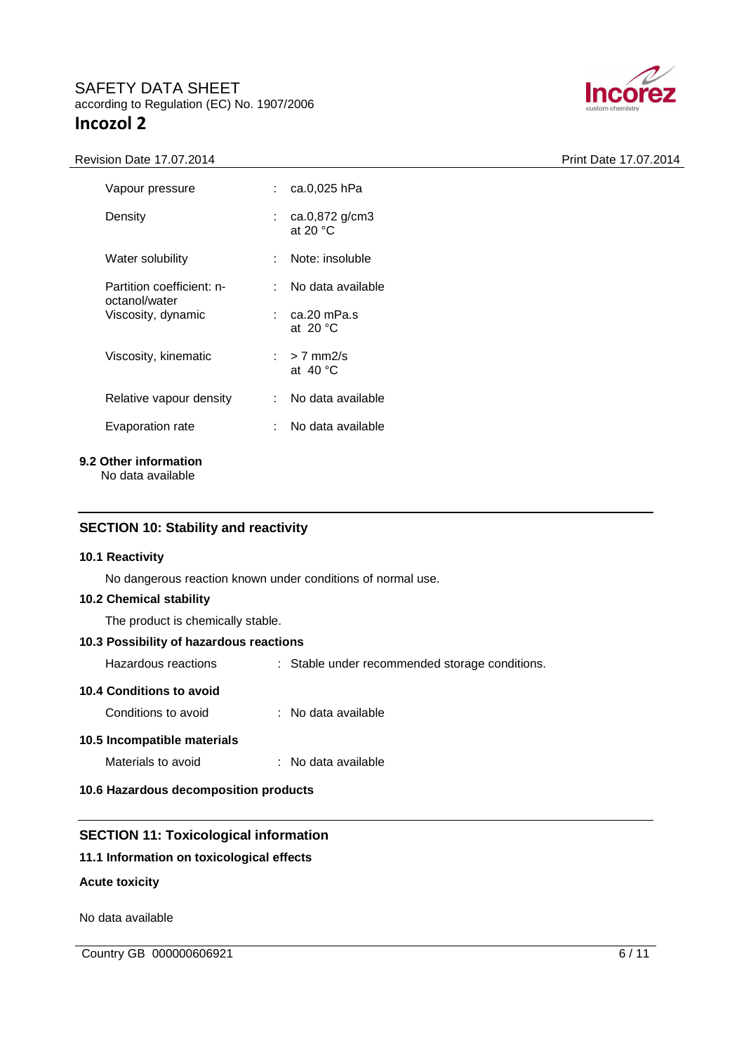



| Vapour pressure                            |     | : ca.0,025 hPa                                |
|--------------------------------------------|-----|-----------------------------------------------|
| Density                                    |     | : $ca.0,872 g/cm3$<br>at 20 $\degree$ C       |
| Water solubility                           |     | : Note: insoluble                             |
| Partition coefficient: n-<br>octanol/water | × 1 | No data available                             |
| Viscosity, dynamic                         |     | $\therefore$ ca.20 mPa.s<br>at 20 $\degree$ C |
| Viscosity, kinematic                       |     | $\therefore$ > 7 mm2/s<br>at 40 °C            |
| Relative vapour density                    |     | : No data available                           |
| Evaporation rate                           |     | No data available                             |
|                                            |     |                                               |

**9.2 Other information** 

No data available

## **SECTION 10: Stability and reactivity**

#### **10.1 Reactivity**

No dangerous reaction known under conditions of normal use.

#### **10.2 Chemical stability**

The product is chemically stable.

#### **10.3 Possibility of hazardous reactions**

Hazardous reactions : Stable under recommended storage conditions.

# **10.4 Conditions to avoid**

| Conditions to avoid | : No data available |
|---------------------|---------------------|
|                     |                     |

## **10.5 Incompatible materials**

Materials to avoid : No data available

#### **10.6 Hazardous decomposition products**

# **SECTION 11: Toxicological information**

# **11.1 Information on toxicological effects**

# **Acute toxicity**

No data available

Country GB 000000606921 6/11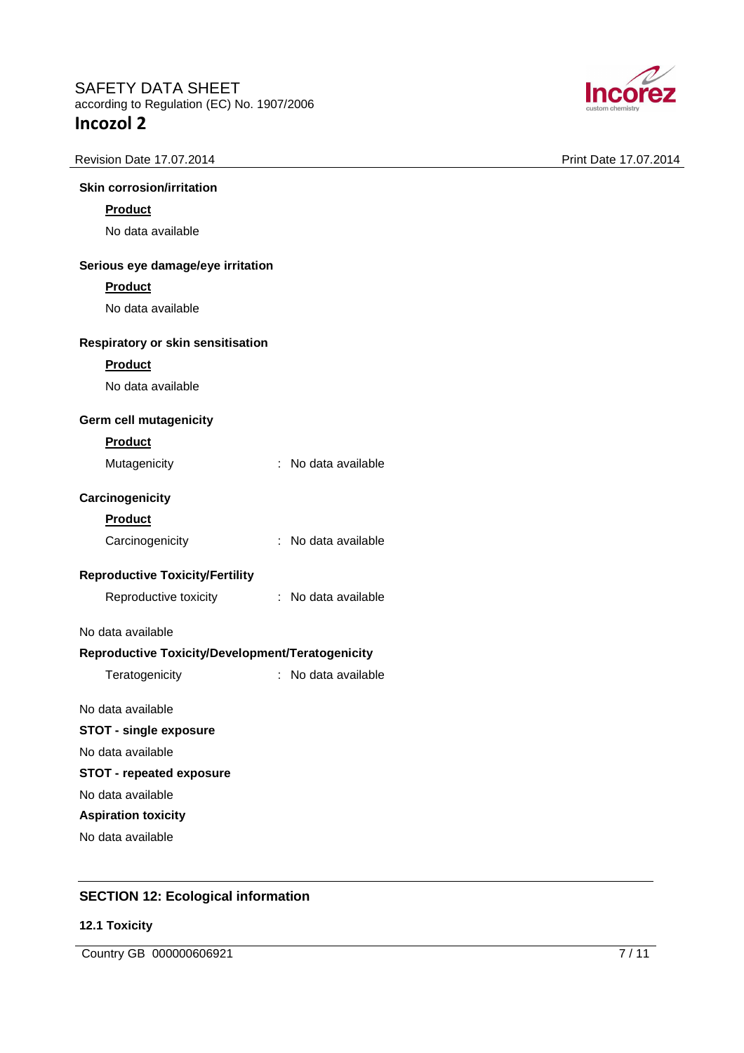





# **Skin corrosion/irritation**

# **Product**

No data available

#### **Serious eye damage/eye irritation**

## **Product**

No data available

#### **Respiratory or skin sensitisation**

#### **Product**

No data available

## **Germ cell mutagenicity**

#### **Product**

| Mutagenicity | No data available |
|--------------|-------------------|

## **Carcinogenicity**

| ۱Uα<br>г |
|----------|
|----------|

| Carcinogenicity | : No data available |
|-----------------|---------------------|
|                 |                     |

## **Reproductive Toxicity/Fertility**

| Reproductive toxicity | No data available |
|-----------------------|-------------------|
|                       |                   |

## No data available

## **Reproductive Toxicity/Development/Teratogenicity**

Teratogenicity : No data available

# No data available

# **STOT - single exposure**

No data available

# **STOT - repeated exposure**

No data available

## **Aspiration toxicity**

No data available

# **SECTION 12: Ecological information**

## **12.1 Toxicity**

Country GB 000000606921 7/11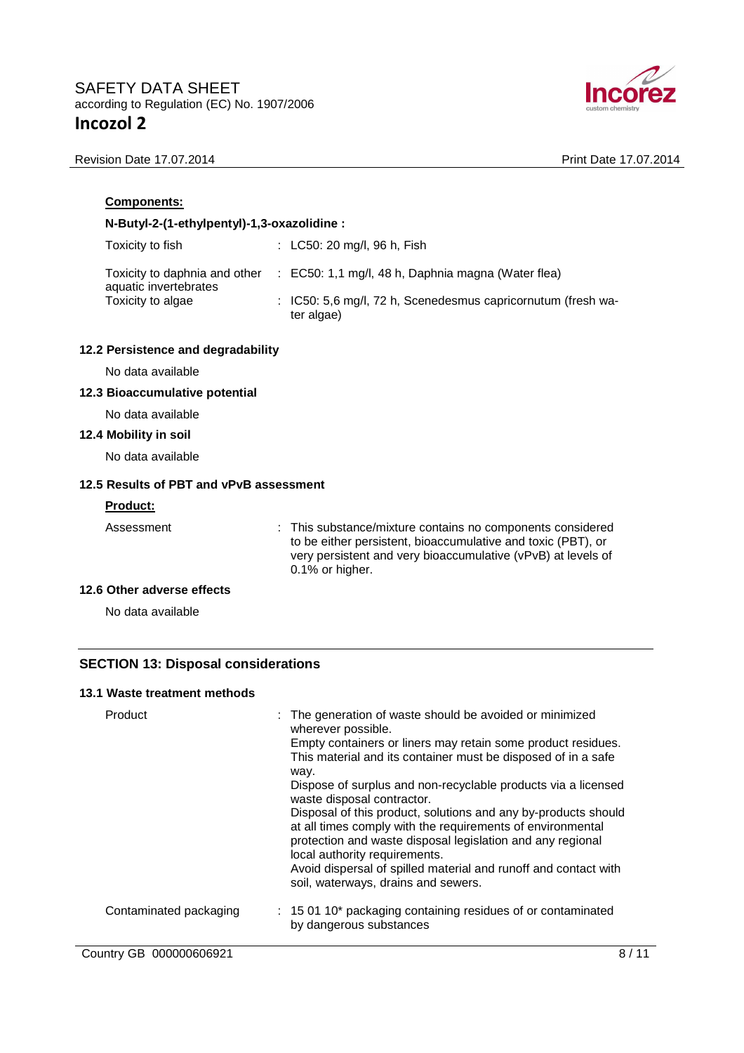

Revision Date 17.07.2014 **Print Date 17.07.2014** 

| Components:                                            |  |                                                                                                                                                                                                               |  |  |
|--------------------------------------------------------|--|---------------------------------------------------------------------------------------------------------------------------------------------------------------------------------------------------------------|--|--|
| N-Butyl-2-(1-ethylpentyl)-1,3-oxazolidine:             |  |                                                                                                                                                                                                               |  |  |
| Toxicity to fish                                       |  | : LC50: 20 mg/l, 96 h, Fish                                                                                                                                                                                   |  |  |
| Toxicity to daphnia and other<br>aquatic invertebrates |  | $\therefore$ EC50: 1,1 mg/l, 48 h, Daphnia magna (Water flea)                                                                                                                                                 |  |  |
| Toxicity to algae                                      |  | : IC50: 5,6 mg/l, 72 h, Scenedesmus capricornutum (fresh wa-<br>ter algae)                                                                                                                                    |  |  |
| 12.2 Persistence and degradability                     |  |                                                                                                                                                                                                               |  |  |
| No data available                                      |  |                                                                                                                                                                                                               |  |  |
| 12.3 Bioaccumulative potential                         |  |                                                                                                                                                                                                               |  |  |
| No data available                                      |  |                                                                                                                                                                                                               |  |  |
| 12.4 Mobility in soil                                  |  |                                                                                                                                                                                                               |  |  |
| No data available                                      |  |                                                                                                                                                                                                               |  |  |
| 12.5 Results of PBT and vPvB assessment                |  |                                                                                                                                                                                                               |  |  |
| <b>Product:</b>                                        |  |                                                                                                                                                                                                               |  |  |
| Assessment                                             |  | : This substance/mixture contains no components considered<br>to be either persistent, bioaccumulative and toxic (PBT), or<br>very persistent and very bioaccumulative (vPvB) at levels of<br>0.1% or higher. |  |  |
| 12.6 Other adverse effects                             |  |                                                                                                                                                                                                               |  |  |
| No data available                                      |  |                                                                                                                                                                                                               |  |  |
|                                                        |  |                                                                                                                                                                                                               |  |  |

# **SECTION 13: Disposal considerations**

# **13.1 Waste treatment methods**

| Product                 | : The generation of waste should be avoided or minimized<br>wherever possible.<br>Empty containers or liners may retain some product residues.<br>This material and its container must be disposed of in a safe<br>way.<br>Dispose of surplus and non-recyclable products via a licensed<br>waste disposal contractor.<br>Disposal of this product, solutions and any by-products should<br>at all times comply with the requirements of environmental<br>protection and waste disposal legislation and any regional<br>local authority requirements.<br>Avoid dispersal of spilled material and runoff and contact with<br>soil, waterways, drains and sewers. |
|-------------------------|-----------------------------------------------------------------------------------------------------------------------------------------------------------------------------------------------------------------------------------------------------------------------------------------------------------------------------------------------------------------------------------------------------------------------------------------------------------------------------------------------------------------------------------------------------------------------------------------------------------------------------------------------------------------|
| Contaminated packaging  | : 15 01 10* packaging containing residues of or contaminated<br>by dangerous substances                                                                                                                                                                                                                                                                                                                                                                                                                                                                                                                                                                         |
| Country GB 000000606921 | 8/11                                                                                                                                                                                                                                                                                                                                                                                                                                                                                                                                                                                                                                                            |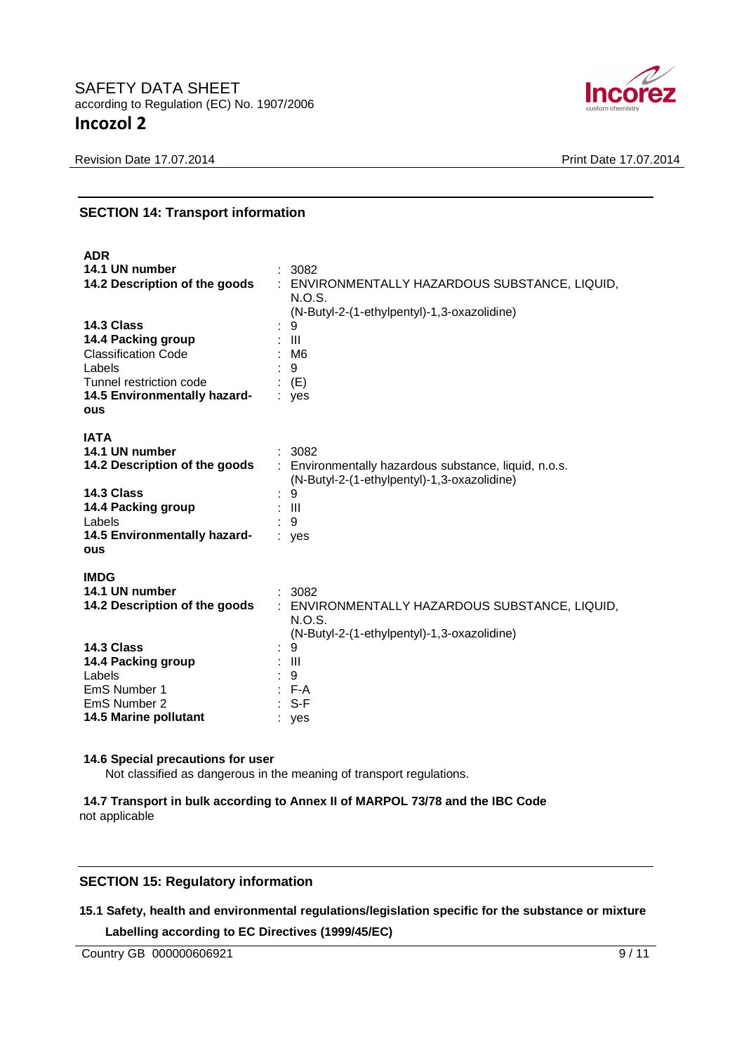

Revision Date 17.07.2014 **Print Date 17.07.2014** 

# **SECTION 14: Transport information**

| <b>ADR</b>                    |                                                       |
|-------------------------------|-------------------------------------------------------|
| 14.1 UN number                | : 3082                                                |
| 14.2 Description of the goods | : ENVIRONMENTALLY HAZARDOUS SUBSTANCE, LIQUID,        |
|                               | N.O.S.                                                |
|                               | (N-Butyl-2-(1-ethylpentyl)-1,3-oxazolidine)           |
| 14.3 Class                    | 9                                                     |
| 14.4 Packing group            | $\pm$ 111                                             |
| <b>Classification Code</b>    | : M6                                                  |
| Labels                        | :9                                                    |
| Tunnel restriction code       | $\colon$ (E)                                          |
| 14.5 Environmentally hazard-  | : yes                                                 |
| ous                           |                                                       |
| <b>IATA</b>                   |                                                       |
| 14.1 UN number                | : 3082                                                |
| 14.2 Description of the goods | : Environmentally hazardous substance, liquid, n.o.s. |
|                               | (N-Butyl-2-(1-ethylpentyl)-1,3-oxazolidine)           |
| 14.3 Class                    | 9                                                     |
| 14.4 Packing group            | : III                                                 |
| Labels                        | $\cdot$ 9                                             |
| 14.5 Environmentally hazard-  | : yes                                                 |
| ous                           |                                                       |
|                               |                                                       |
| <b>IMDG</b>                   |                                                       |
| 14.1 UN number                | : 3082                                                |
| 14.2 Description of the goods | : ENVIRONMENTALLY HAZARDOUS SUBSTANCE, LIQUID,        |
|                               | N.O.S.                                                |
|                               | (N-Butyl-2-(1-ethylpentyl)-1,3-oxazolidine)           |
| 14.3 Class                    | 9                                                     |
| 14.4 Packing group            | $\therefore$ III                                      |
| Labels                        | : 9                                                   |
| EmS Number 1                  | $\therefore$ F-A                                      |
| EmS Number 2                  | $: S-F$                                               |
| 14.5 Marine pollutant         | yes                                                   |

#### **14.6 Special precautions for user**

Not classified as dangerous in the meaning of transport regulations.

**14.7 Transport in bulk according to Annex II of MARPOL 73/78 and the IBC Code** not applicable

# **SECTION 15: Regulatory information**

**15.1 Safety, health and environmental regulations/legislation specific for the substance or mixture** 

**Labelling according to EC Directives (1999/45/EC)** 

Country GB 000000606921 9/11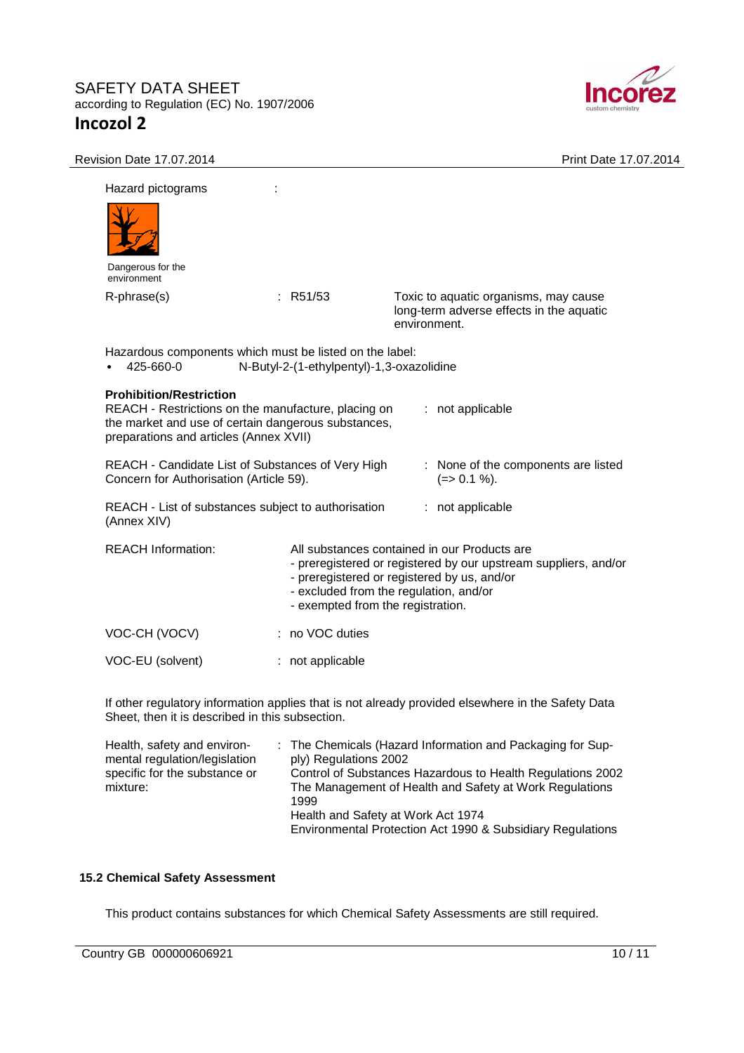

| Revision Date 17.07.2014                                                                                                                                                                                                                    |                                           | Print Date 17.07.2014                                                                                                                                                                                                                         |
|---------------------------------------------------------------------------------------------------------------------------------------------------------------------------------------------------------------------------------------------|-------------------------------------------|-----------------------------------------------------------------------------------------------------------------------------------------------------------------------------------------------------------------------------------------------|
| Hazard pictograms                                                                                                                                                                                                                           |                                           |                                                                                                                                                                                                                                               |
|                                                                                                                                                                                                                                             |                                           |                                                                                                                                                                                                                                               |
| Dangerous for the<br>environment                                                                                                                                                                                                            |                                           |                                                                                                                                                                                                                                               |
| R-phrase(s)                                                                                                                                                                                                                                 | : R51/53                                  | Toxic to aquatic organisms, may cause<br>long-term adverse effects in the aquatic<br>environment.                                                                                                                                             |
| Hazardous components which must be listed on the label:<br>425-660-0                                                                                                                                                                        | N-Butyl-2-(1-ethylpentyl)-1,3-oxazolidine |                                                                                                                                                                                                                                               |
| <b>Prohibition/Restriction</b><br>REACH - Restrictions on the manufacture, placing on<br>the market and use of certain dangerous substances,<br>preparations and articles (Annex XVII)<br>REACH - Candidate List of Substances of Very High |                                           | : not applicable<br>: None of the components are listed                                                                                                                                                                                       |
| Concern for Authorisation (Article 59).                                                                                                                                                                                                     |                                           | $(=>0.1\%).$                                                                                                                                                                                                                                  |
| REACH - List of substances subject to authorisation<br>(Annex XIV)                                                                                                                                                                          |                                           | : not applicable                                                                                                                                                                                                                              |
| <b>REACH Information:</b>                                                                                                                                                                                                                   |                                           | All substances contained in our Products are<br>- preregistered or registered by our upstream suppliers, and/or<br>- preregistered or registered by us, and/or<br>- excluded from the regulation, and/or<br>- exempted from the registration. |
| VOC-CH (VOCV)                                                                                                                                                                                                                               | : no VOC duties                           |                                                                                                                                                                                                                                               |
| VOC-EU (solvent)                                                                                                                                                                                                                            | : not applicable                          |                                                                                                                                                                                                                                               |
| Sheet, then it is described in this subsection.                                                                                                                                                                                             |                                           | If other regulatory information applies that is not already provided elsewhere in the Safety Data                                                                                                                                             |
| Health, safety and environ-                                                                                                                                                                                                                 |                                           | : The Chemicals (Hazard Information and Packaging for Sup-                                                                                                                                                                                    |

| Health, safety and environ-<br>mental regulation/legislation | $\therefore$ The Chemicals (Hazard Information and Packaging for Sup-<br>ply) Regulations 2002 |
|--------------------------------------------------------------|------------------------------------------------------------------------------------------------|
| specific for the substance or                                | Control of Substances Hazardous to Health Regulations 2002                                     |
| mixture:                                                     | The Management of Health and Safety at Work Regulations<br>1999                                |
|                                                              | Health and Safety at Work Act 1974                                                             |
|                                                              | Environmental Protection Act 1990 & Subsidiary Regulations                                     |

# **15.2 Chemical Safety Assessment**

This product contains substances for which Chemical Safety Assessments are still required.